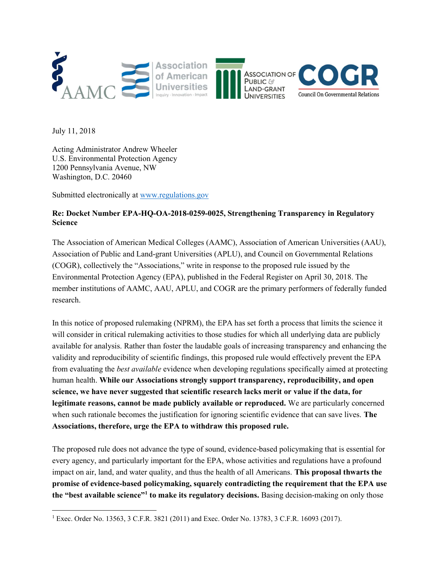

July 11, 2018

Acting Administrator Andrew Wheeler U.S. Environmental Protection Agency 1200 Pennsylvania Avenue, NW Washington, D.C. 20460

Submitted electronically at www.regulations.gov

## Re: Docket Number EPA-HQ-OA-2018-0259-0025, Strengthening Transparency in Regulatory Science

The Association of American Medical Colleges (AAMC), Association of American Universities (AAU), Association of Public and Land-grant Universities (APLU), and Council on Governmental Relations (COGR), collectively the "Associations," write in response to the proposed rule issued by the Environmental Protection Agency (EPA), published in the Federal Register on April 30, 2018. The member institutions of AAMC, AAU, APLU, and COGR are the primary performers of federally funded research.

In this notice of proposed rulemaking (NPRM), the EPA has set forth a process that limits the science it will consider in critical rulemaking activities to those studies for which all underlying data are publicly available for analysis. Rather than foster the laudable goals of increasing transparency and enhancing the validity and reproducibility of scientific findings, this proposed rule would effectively prevent the EPA from evaluating the best available evidence when developing regulations specifically aimed at protecting human health. While our Associations strongly support transparency, reproducibility, and open science, we have never suggested that scientific research lacks merit or value if the data, for legitimate reasons, cannot be made publicly available or reproduced. We are particularly concerned when such rationale becomes the justification for ignoring scientific evidence that can save lives. The Associations, therefore, urge the EPA to withdraw this proposed rule.

The proposed rule does not advance the type of sound, evidence-based policymaking that is essential for every agency, and particularly important for the EPA, whose activities and regulations have a profound impact on air, land, and water quality, and thus the health of all Americans. This proposal thwarts the promise of evidence-based policymaking, squarely contradicting the requirement that the EPA use the "best available science"<sup>1</sup> to make its regulatory decisions. Basing decision-making on only those

<sup>1</sup> Exec. Order No. 13563, 3 C.F.R. 3821 (2011) and Exec. Order No. 13783, 3 C.F.R. 16093 (2017).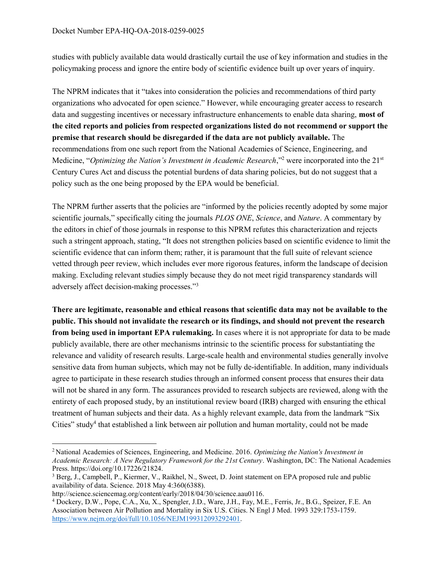studies with publicly available data would drastically curtail the use of key information and studies in the policymaking process and ignore the entire body of scientific evidence built up over years of inquiry.

The NPRM indicates that it "takes into consideration the policies and recommendations of third party organizations who advocated for open science." However, while encouraging greater access to research data and suggesting incentives or necessary infrastructure enhancements to enable data sharing, most of the cited reports and policies from respected organizations listed do not recommend or support the premise that research should be disregarded if the data are not publicly available. The recommendations from one such report from the National Academies of Science, Engineering, and Medicine, "Optimizing the Nation's Investment in Academic Research,"<sup>2</sup> were incorporated into the 21<sup>st</sup> Century Cures Act and discuss the potential burdens of data sharing policies, but do not suggest that a policy such as the one being proposed by the EPA would be beneficial.

The NPRM further asserts that the policies are "informed by the policies recently adopted by some major scientific journals," specifically citing the journals PLOS ONE, Science, and Nature. A commentary by the editors in chief of those journals in response to this NPRM refutes this characterization and rejects such a stringent approach, stating, "It does not strengthen policies based on scientific evidence to limit the scientific evidence that can inform them; rather, it is paramount that the full suite of relevant science vetted through peer review, which includes ever more rigorous features, inform the landscape of decision making. Excluding relevant studies simply because they do not meet rigid transparency standards will adversely affect decision-making processes."<sup>3</sup>

There are legitimate, reasonable and ethical reasons that scientific data may not be available to the public. This should not invalidate the research or its findings, and should not prevent the research from being used in important EPA rulemaking. In cases where it is not appropriate for data to be made publicly available, there are other mechanisms intrinsic to the scientific process for substantiating the relevance and validity of research results. Large-scale health and environmental studies generally involve sensitive data from human subjects, which may not be fully de-identifiable. In addition, many individuals agree to participate in these research studies through an informed consent process that ensures their data will not be shared in any form. The assurances provided to research subjects are reviewed, along with the entirety of each proposed study, by an institutional review board (IRB) charged with ensuring the ethical treatment of human subjects and their data. As a highly relevant example, data from the landmark "Six Cities" study<sup>4</sup> that established a link between air pollution and human mortality, could not be made

<sup>&</sup>lt;sup>2</sup> National Academies of Sciences, Engineering, and Medicine. 2016. Optimizing the Nation's Investment in Academic Research: A New Regulatory Framework for the 21st Century. Washington, DC: The National Academies Press. https://doi.org/10.17226/21824.

<sup>&</sup>lt;sup>3</sup> Berg, J., Campbell, P., Kiermer, V., Raikhel, N., Sweet, D. Joint statement on EPA proposed rule and public availability of data. Science. 2018 May 4:360(6388).

http://science.sciencemag.org/content/early/2018/04/30/science.aau0116.

<sup>4</sup> Dockery, D.W., Pope, C.A., Xu, X., Spengler, J.D., Ware, J.H., Fay, M.E., Ferris, Jr., B.G., Speizer, F.E. An Association between Air Pollution and Mortality in Six U.S. Cities. N Engl J Med. 1993 329:1753-1759. https://www.nejm.org/doi/full/10.1056/NEJM199312093292401.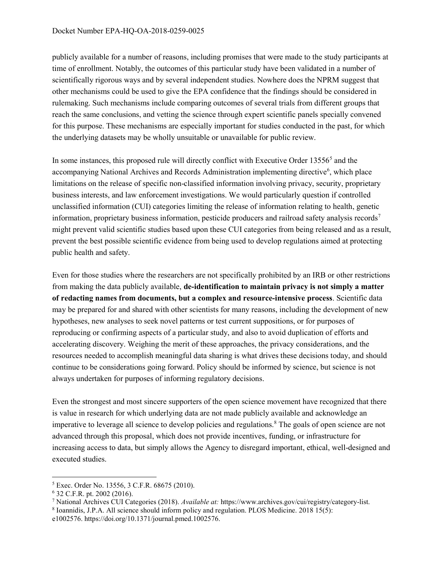## Docket Number EPA-HQ-OA-2018-0259-0025

publicly available for a number of reasons, including promises that were made to the study participants at time of enrollment. Notably, the outcomes of this particular study have been validated in a number of scientifically rigorous ways and by several independent studies. Nowhere does the NPRM suggest that other mechanisms could be used to give the EPA confidence that the findings should be considered in rulemaking. Such mechanisms include comparing outcomes of several trials from different groups that reach the same conclusions, and vetting the science through expert scientific panels specially convened for this purpose. These mechanisms are especially important for studies conducted in the past, for which the underlying datasets may be wholly unsuitable or unavailable for public review.

In some instances, this proposed rule will directly conflict with Executive Order 13556<sup>5</sup> and the accompanying National Archives and Records Administration implementing directive<sup>6</sup>, which place limitations on the release of specific non-classified information involving privacy, security, proprietary business interests, and law enforcement investigations. We would particularly question if controlled unclassified information (CUI) categories limiting the release of information relating to health, genetic information, proprietary business information, pesticide producers and railroad safety analysis records<sup>7</sup> might prevent valid scientific studies based upon these CUI categories from being released and as a result, prevent the best possible scientific evidence from being used to develop regulations aimed at protecting public health and safety.

Even for those studies where the researchers are not specifically prohibited by an IRB or other restrictions from making the data publicly available, de-identification to maintain privacy is not simply a matter of redacting names from documents, but a complex and resource-intensive process. Scientific data may be prepared for and shared with other scientists for many reasons, including the development of new hypotheses, new analyses to seek novel patterns or test current suppositions, or for purposes of reproducing or confirming aspects of a particular study, and also to avoid duplication of efforts and accelerating discovery. Weighing the merit of these approaches, the privacy considerations, and the resources needed to accomplish meaningful data sharing is what drives these decisions today, and should continue to be considerations going forward. Policy should be informed by science, but science is not always undertaken for purposes of informing regulatory decisions.

Even the strongest and most sincere supporters of the open science movement have recognized that there is value in research for which underlying data are not made publicly available and acknowledge an imperative to leverage all science to develop policies and regulations.<sup>8</sup> The goals of open science are not advanced through this proposal, which does not provide incentives, funding, or infrastructure for increasing access to data, but simply allows the Agency to disregard important, ethical, well-designed and executed studies.

 $\overline{a}$ 

<sup>5</sup> Exec. Order No. 13556, 3 C.F.R. 68675 (2010).

<sup>6</sup> 32 C.F.R. pt. 2002 (2016).

<sup>&</sup>lt;sup>7</sup> National Archives CUI Categories (2018). Available at: https://www.archives.gov/cui/registry/category-list.

<sup>8</sup> Ioannidis, J.P.A. All science should inform policy and regulation. PLOS Medicine. 2018 15(5):

e1002576. https://doi.org/10.1371/journal.pmed.1002576.